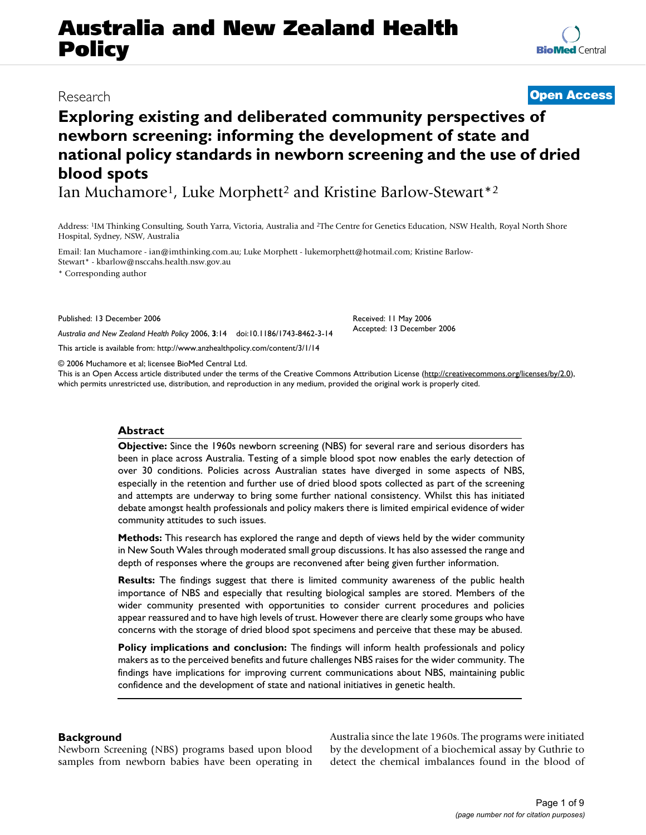# **Australia and New Zealand Health Policy**

### Research **[Open Access](http://www.biomedcentral.com/info/about/charter/)**

## **Exploring existing and deliberated community perspectives of newborn screening: informing the development of state and national policy standards in newborn screening and the use of dried blood spots**

Ian Muchamore<sup>1</sup>, Luke Morphett<sup>2</sup> and Kristine Barlow-Stewart<sup>\*2</sup>

Address: 1IM Thinking Consulting, South Yarra, Victoria, Australia and 2The Centre for Genetics Education, NSW Health, Royal North Shore Hospital, Sydney, NSW, Australia

Email: Ian Muchamore - ian@imthinking.com.au; Luke Morphett - lukemorphett@hotmail.com; Kristine Barlow-Stewart\* - kbarlow@nsccahs.health.nsw.gov.au

\* Corresponding author

Published: 13 December 2006

*Australia and New Zealand Health Policy* 2006, **3**:14 doi:10.1186/1743-8462-3-14

[This article is available from: http://www.anzhealthpolicy.com/content/3/1/14](http://www.anzhealthpolicy.com/content/3/1/14)

© 2006 Muchamore et al; licensee BioMed Central Ltd.

This is an Open Access article distributed under the terms of the Creative Commons Attribution License [\(http://creativecommons.org/licenses/by/2.0\)](http://creativecommons.org/licenses/by/2.0), which permits unrestricted use, distribution, and reproduction in any medium, provided the original work is properly cited.

#### **Abstract**

**Objective:** Since the 1960s newborn screening (NBS) for several rare and serious disorders has been in place across Australia. Testing of a simple blood spot now enables the early detection of over 30 conditions. Policies across Australian states have diverged in some aspects of NBS, especially in the retention and further use of dried blood spots collected as part of the screening and attempts are underway to bring some further national consistency. Whilst this has initiated debate amongst health professionals and policy makers there is limited empirical evidence of wider community attitudes to such issues.

**Methods:** This research has explored the range and depth of views held by the wider community in New South Wales through moderated small group discussions. It has also assessed the range and depth of responses where the groups are reconvened after being given further information.

**Results:** The findings suggest that there is limited community awareness of the public health importance of NBS and especially that resulting biological samples are stored. Members of the wider community presented with opportunities to consider current procedures and policies appear reassured and to have high levels of trust. However there are clearly some groups who have concerns with the storage of dried blood spot specimens and perceive that these may be abused.

**Policy implications and conclusion:** The findings will inform health professionals and policy makers as to the perceived benefits and future challenges NBS raises for the wider community. The findings have implications for improving current communications about NBS, maintaining public confidence and the development of state and national initiatives in genetic health.

#### **Background**

Newborn Screening (NBS) programs based upon blood samples from newborn babies have been operating in Australia since the late 1960s. The programs were initiated by the development of a biochemical assay by Guthrie to detect the chemical imbalances found in the blood of

Received: 11 May 2006 Accepted: 13 December 2006

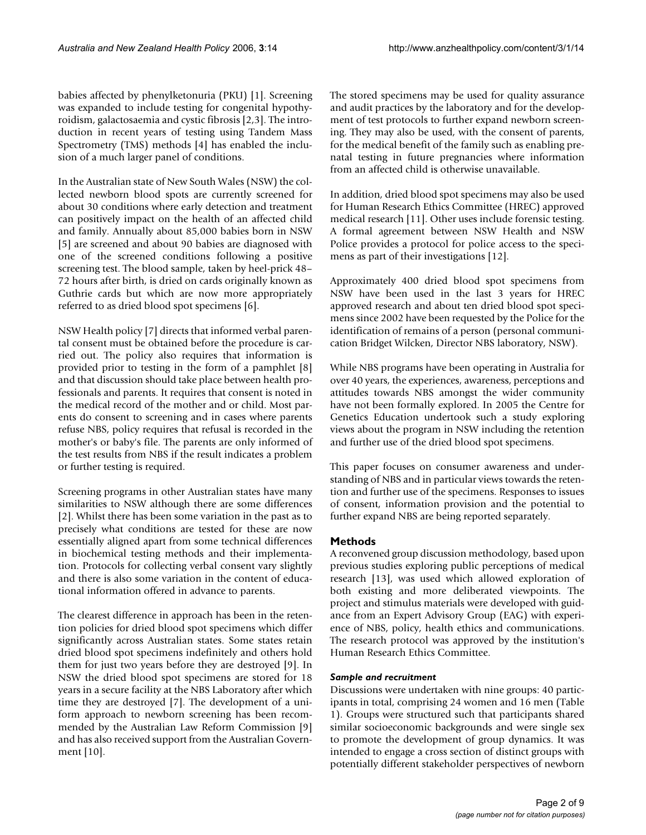babies affected by phenylketonuria (PKU) [1]. Screening was expanded to include testing for congenital hypothyroidism, galactosaemia and cystic fibrosis [2,3]. The introduction in recent years of testing using Tandem Mass Spectrometry (TMS) methods [4] has enabled the inclusion of a much larger panel of conditions.

In the Australian state of New South Wales (NSW) the collected newborn blood spots are currently screened for about 30 conditions where early detection and treatment can positively impact on the health of an affected child and family. Annually about 85,000 babies born in NSW [5] are screened and about 90 babies are diagnosed with one of the screened conditions following a positive screening test. The blood sample, taken by heel-prick 48– 72 hours after birth, is dried on cards originally known as Guthrie cards but which are now more appropriately referred to as dried blood spot specimens [6].

NSW Health policy [7] directs that informed verbal parental consent must be obtained before the procedure is carried out. The policy also requires that information is provided prior to testing in the form of a pamphlet [8] and that discussion should take place between health professionals and parents. It requires that consent is noted in the medical record of the mother and or child. Most parents do consent to screening and in cases where parents refuse NBS, policy requires that refusal is recorded in the mother's or baby's file. The parents are only informed of the test results from NBS if the result indicates a problem or further testing is required.

Screening programs in other Australian states have many similarities to NSW although there are some differences [2]. Whilst there has been some variation in the past as to precisely what conditions are tested for these are now essentially aligned apart from some technical differences in biochemical testing methods and their implementation. Protocols for collecting verbal consent vary slightly and there is also some variation in the content of educational information offered in advance to parents.

The clearest difference in approach has been in the retention policies for dried blood spot specimens which differ significantly across Australian states. Some states retain dried blood spot specimens indefinitely and others hold them for just two years before they are destroyed [9]. In NSW the dried blood spot specimens are stored for 18 years in a secure facility at the NBS Laboratory after which time they are destroyed [7]. The development of a uniform approach to newborn screening has been recommended by the Australian Law Reform Commission [9] and has also received support from the Australian Government [10].

The stored specimens may be used for quality assurance and audit practices by the laboratory and for the development of test protocols to further expand newborn screening. They may also be used, with the consent of parents, for the medical benefit of the family such as enabling prenatal testing in future pregnancies where information from an affected child is otherwise unavailable.

In addition, dried blood spot specimens may also be used for Human Research Ethics Committee (HREC) approved medical research [11]. Other uses include forensic testing. A formal agreement between NSW Health and NSW Police provides a protocol for police access to the specimens as part of their investigations [12].

Approximately 400 dried blood spot specimens from NSW have been used in the last 3 years for HREC approved research and about ten dried blood spot specimens since 2002 have been requested by the Police for the identification of remains of a person (personal communication Bridget Wilcken, Director NBS laboratory, NSW).

While NBS programs have been operating in Australia for over 40 years, the experiences, awareness, perceptions and attitudes towards NBS amongst the wider community have not been formally explored. In 2005 the Centre for Genetics Education undertook such a study exploring views about the program in NSW including the retention and further use of the dried blood spot specimens.

This paper focuses on consumer awareness and understanding of NBS and in particular views towards the retention and further use of the specimens. Responses to issues of consent, information provision and the potential to further expand NBS are being reported separately.

#### **Methods**

A reconvened group discussion methodology, based upon previous studies exploring public perceptions of medical research [13], was used which allowed exploration of both existing and more deliberated viewpoints. The project and stimulus materials were developed with guidance from an Expert Advisory Group (EAG) with experience of NBS, policy, health ethics and communications. The research protocol was approved by the institution's Human Research Ethics Committee.

#### *Sample and recruitment*

Discussions were undertaken with nine groups: 40 participants in total, comprising 24 women and 16 men (Table 1). Groups were structured such that participants shared similar socioeconomic backgrounds and were single sex to promote the development of group dynamics. It was intended to engage a cross section of distinct groups with potentially different stakeholder perspectives of newborn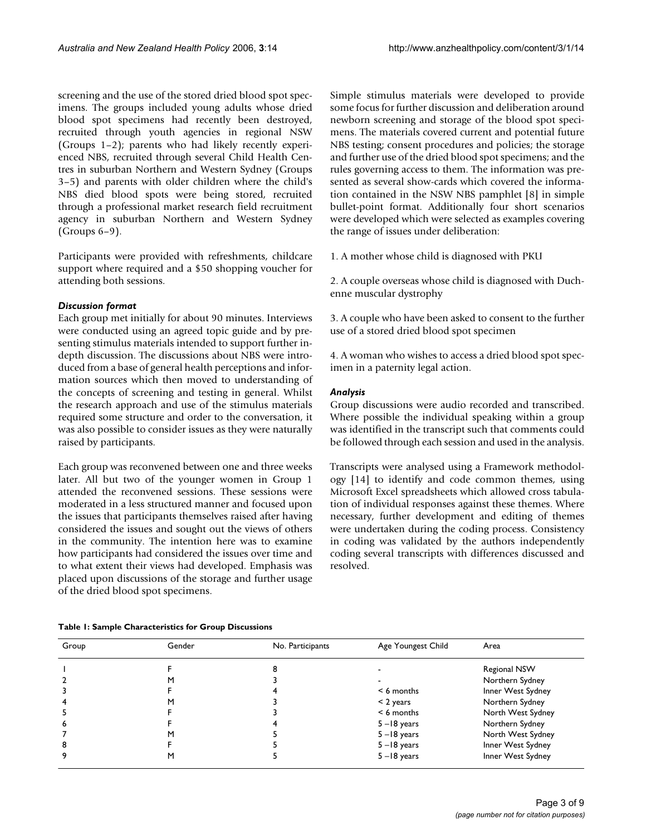screening and the use of the stored dried blood spot specimens. The groups included young adults whose dried blood spot specimens had recently been destroyed, recruited through youth agencies in regional NSW (Groups 1–2); parents who had likely recently experienced NBS, recruited through several Child Health Centres in suburban Northern and Western Sydney (Groups 3–5) and parents with older children where the child's NBS died blood spots were being stored, recruited through a professional market research field recruitment agency in suburban Northern and Western Sydney (Groups 6–9).

Participants were provided with refreshments, childcare support where required and a \$50 shopping voucher for attending both sessions.

#### *Discussion format*

Each group met initially for about 90 minutes. Interviews were conducted using an agreed topic guide and by presenting stimulus materials intended to support further indepth discussion. The discussions about NBS were introduced from a base of general health perceptions and information sources which then moved to understanding of the concepts of screening and testing in general. Whilst the research approach and use of the stimulus materials required some structure and order to the conversation, it was also possible to consider issues as they were naturally raised by participants.

Each group was reconvened between one and three weeks later. All but two of the younger women in Group 1 attended the reconvened sessions. These sessions were moderated in a less structured manner and focused upon the issues that participants themselves raised after having considered the issues and sought out the views of others in the community. The intention here was to examine how participants had considered the issues over time and to what extent their views had developed. Emphasis was placed upon discussions of the storage and further usage of the dried blood spot specimens.

Simple stimulus materials were developed to provide some focus for further discussion and deliberation around newborn screening and storage of the blood spot specimens. The materials covered current and potential future NBS testing; consent procedures and policies; the storage and further use of the dried blood spot specimens; and the rules governing access to them. The information was presented as several show-cards which covered the information contained in the NSW NBS pamphlet [8] in simple bullet-point format. Additionally four short scenarios were developed which were selected as examples covering the range of issues under deliberation:

1. A mother whose child is diagnosed with PKU

2. A couple overseas whose child is diagnosed with Duchenne muscular dystrophy

3. A couple who have been asked to consent to the further use of a stored dried blood spot specimen

4. A woman who wishes to access a dried blood spot specimen in a paternity legal action.

#### *Analysis*

Group discussions were audio recorded and transcribed. Where possible the individual speaking within a group was identified in the transcript such that comments could be followed through each session and used in the analysis.

Transcripts were analysed using a Framework methodology [14] to identify and code common themes, using Microsoft Excel spreadsheets which allowed cross tabulation of individual responses against these themes. Where necessary, further development and editing of themes were undertaken during the coding process. Consistency in coding was validated by the authors independently coding several transcripts with differences discussed and resolved.

| Table 1: Sample Characteristics for Group Discussions |
|-------------------------------------------------------|
|-------------------------------------------------------|

| Group | Gender | No. Participants | Age Youngest Child | Area                |
|-------|--------|------------------|--------------------|---------------------|
|       |        |                  |                    | <b>Regional NSW</b> |
|       |        |                  |                    | Northern Sydney     |
|       |        |                  | $< 6$ months       | Inner West Sydney   |
|       |        |                  | $<$ 2 years        | Northern Sydney     |
| 5     |        |                  | $< 6$ months       | North West Sydney   |
| 6     |        |                  | $5 - 18$ years     | Northern Sydney     |
|       | м      |                  | $5 - 18$ years     | North West Sydney   |
| 8     |        |                  | $5 - 18$ years     | Inner West Sydney   |
| 9     | м      |                  | $5 - 18$ years     | Inner West Sydney   |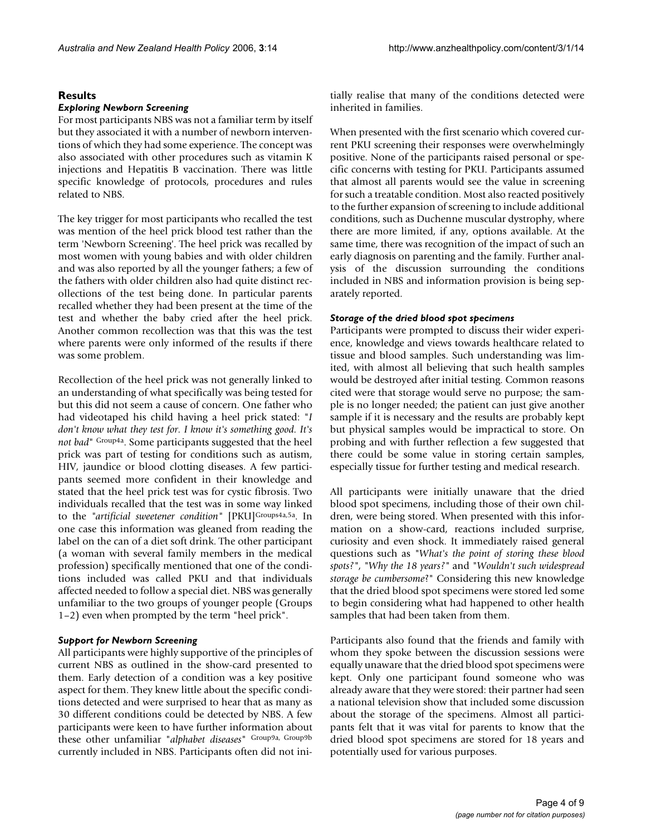#### **Results**

#### *Exploring Newborn Screening*

For most participants NBS was not a familiar term by itself but they associated it with a number of newborn interventions of which they had some experience. The concept was also associated with other procedures such as vitamin K injections and Hepatitis B vaccination. There was little specific knowledge of protocols, procedures and rules related to NBS.

The key trigger for most participants who recalled the test was mention of the heel prick blood test rather than the term 'Newborn Screening'. The heel prick was recalled by most women with young babies and with older children and was also reported by all the younger fathers; a few of the fathers with older children also had quite distinct recollections of the test being done. In particular parents recalled whether they had been present at the time of the test and whether the baby cried after the heel prick. Another common recollection was that this was the test where parents were only informed of the results if there was some problem.

Recollection of the heel prick was not generally linked to an understanding of what specifically was being tested for but this did not seem a cause of concern. One father who had videotaped his child having a heel prick stated: "*I don't know what they test for. I know it's something good. It's not bad*" Group4a. Some participants suggested that the heel prick was part of testing for conditions such as autism, HIV, jaundice or blood clotting diseases. A few participants seemed more confident in their knowledge and stated that the heel prick test was for cystic fibrosis. Two individuals recalled that the test was in some way linked to the "artificial sweetener condition" [PKU]<sup>Groups4a,5a</sup>. In one case this information was gleaned from reading the label on the can of a diet soft drink. The other participant (a woman with several family members in the medical profession) specifically mentioned that one of the conditions included was called PKU and that individuals affected needed to follow a special diet. NBS was generally unfamiliar to the two groups of younger people (Groups 1–2) even when prompted by the term "heel prick".

#### *Support for Newborn Screening*

All participants were highly supportive of the principles of current NBS as outlined in the show-card presented to them. Early detection of a condition was a key positive aspect for them. They knew little about the specific conditions detected and were surprised to hear that as many as 30 different conditions could be detected by NBS. A few participants were keen to have further information about these other unfamiliar "*alphabet diseases*" Group9a, Group9b currently included in NBS. Participants often did not initially realise that many of the conditions detected were inherited in families.

When presented with the first scenario which covered current PKU screening their responses were overwhelmingly positive. None of the participants raised personal or specific concerns with testing for PKU. Participants assumed that almost all parents would see the value in screening for such a treatable condition. Most also reacted positively to the further expansion of screening to include additional conditions, such as Duchenne muscular dystrophy, where there are more limited, if any, options available. At the same time, there was recognition of the impact of such an early diagnosis on parenting and the family. Further analysis of the discussion surrounding the conditions included in NBS and information provision is being separately reported.

#### *Storage of the dried blood spot specimens*

Participants were prompted to discuss their wider experience, knowledge and views towards healthcare related to tissue and blood samples. Such understanding was limited, with almost all believing that such health samples would be destroyed after initial testing. Common reasons cited were that storage would serve no purpose; the sample is no longer needed; the patient can just give another sample if it is necessary and the results are probably kept but physical samples would be impractical to store. On probing and with further reflection a few suggested that there could be some value in storing certain samples, especially tissue for further testing and medical research.

All participants were initially unaware that the dried blood spot specimens, including those of their own children, were being stored. When presented with this information on a show-card, reactions included surprise, curiosity and even shock. It immediately raised general questions such as *"What's the point of storing these blood spots?"*, *"Why the 18 years?"* and *"Wouldn't such widespread storage be cumbersome*?" Considering this new knowledge that the dried blood spot specimens were stored led some to begin considering what had happened to other health samples that had been taken from them.

Participants also found that the friends and family with whom they spoke between the discussion sessions were equally unaware that the dried blood spot specimens were kept. Only one participant found someone who was already aware that they were stored: their partner had seen a national television show that included some discussion about the storage of the specimens. Almost all participants felt that it was vital for parents to know that the dried blood spot specimens are stored for 18 years and potentially used for various purposes.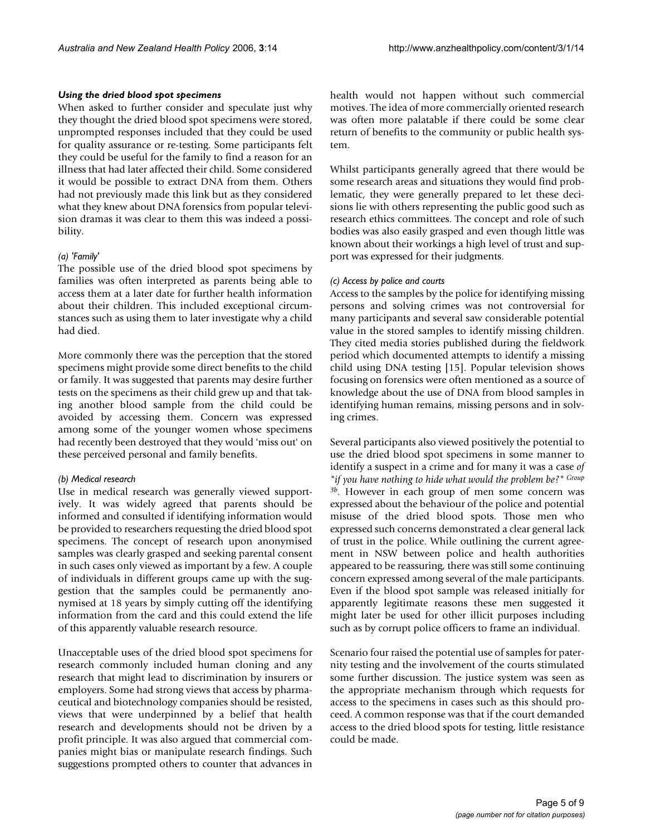#### *Using the dried blood spot specimens*

When asked to further consider and speculate just why they thought the dried blood spot specimens were stored, unprompted responses included that they could be used for quality assurance or re-testing. Some participants felt they could be useful for the family to find a reason for an illness that had later affected their child. Some considered it would be possible to extract DNA from them. Others had not previously made this link but as they considered what they knew about DNA forensics from popular television dramas it was clear to them this was indeed a possibility.

#### *(a) 'Family'*

The possible use of the dried blood spot specimens by families was often interpreted as parents being able to access them at a later date for further health information about their children. This included exceptional circumstances such as using them to later investigate why a child had died.

More commonly there was the perception that the stored specimens might provide some direct benefits to the child or family. It was suggested that parents may desire further tests on the specimens as their child grew up and that taking another blood sample from the child could be avoided by accessing them. Concern was expressed among some of the younger women whose specimens had recently been destroyed that they would 'miss out' on these perceived personal and family benefits.

#### *(b) Medical research*

Use in medical research was generally viewed supportively. It was widely agreed that parents should be informed and consulted if identifying information would be provided to researchers requesting the dried blood spot specimens. The concept of research upon anonymised samples was clearly grasped and seeking parental consent in such cases only viewed as important by a few. A couple of individuals in different groups came up with the suggestion that the samples could be permanently anonymised at 18 years by simply cutting off the identifying information from the card and this could extend the life of this apparently valuable research resource.

Unacceptable uses of the dried blood spot specimens for research commonly included human cloning and any research that might lead to discrimination by insurers or employers. Some had strong views that access by pharmaceutical and biotechnology companies should be resisted, views that were underpinned by a belief that health research and developments should not be driven by a profit principle. It was also argued that commercial companies might bias or manipulate research findings. Such suggestions prompted others to counter that advances in health would not happen without such commercial motives. The idea of more commercially oriented research was often more palatable if there could be some clear return of benefits to the community or public health system.

Whilst participants generally agreed that there would be some research areas and situations they would find problematic, they were generally prepared to let these decisions lie with others representing the public good such as research ethics committees. The concept and role of such bodies was also easily grasped and even though little was known about their workings a high level of trust and support was expressed for their judgments.

#### *(c) Access by police and courts*

Access to the samples by the police for identifying missing persons and solving crimes was not controversial for many participants and several saw considerable potential value in the stored samples to identify missing children. They cited media stories published during the fieldwork period which documented attempts to identify a missing child using DNA testing [15]. Popular television shows focusing on forensics were often mentioned as a source of knowledge about the use of DNA from blood samples in identifying human remains, missing persons and in solving crimes.

Several participants also viewed positively the potential to use the dried blood spot specimens in some manner to identify a suspect in a crime and for many it was a case *of "if you have nothing to hide what would the problem be?" Group 3b*. However in each group of men some concern was expressed about the behaviour of the police and potential misuse of the dried blood spots. Those men who expressed such concerns demonstrated a clear general lack of trust in the police. While outlining the current agreement in NSW between police and health authorities appeared to be reassuring, there was still some continuing concern expressed among several of the male participants. Even if the blood spot sample was released initially for apparently legitimate reasons these men suggested it might later be used for other illicit purposes including such as by corrupt police officers to frame an individual.

Scenario four raised the potential use of samples for paternity testing and the involvement of the courts stimulated some further discussion. The justice system was seen as the appropriate mechanism through which requests for access to the specimens in cases such as this should proceed. A common response was that if the court demanded access to the dried blood spots for testing, little resistance could be made.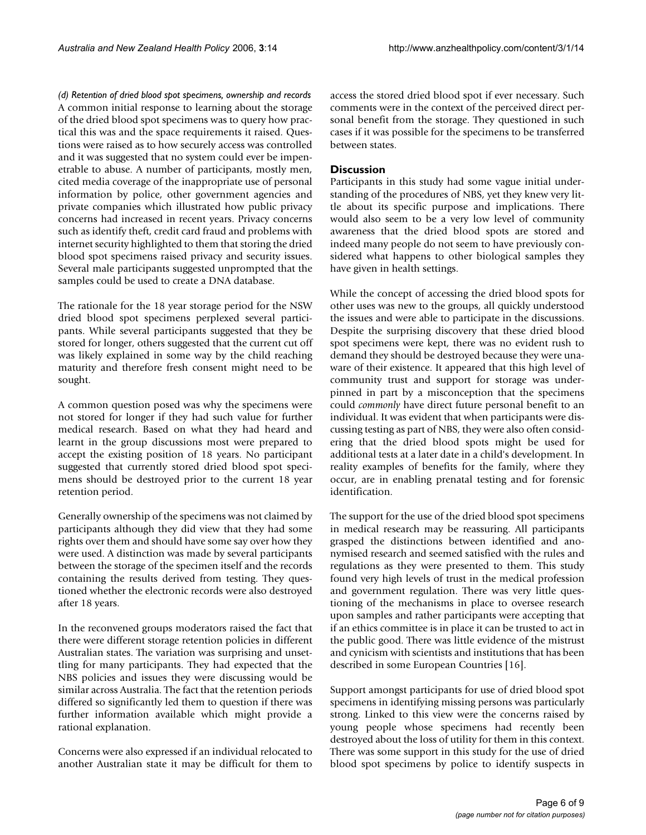*(d) Retention of dried blood spot specimens, ownership and records* A common initial response to learning about the storage of the dried blood spot specimens was to query how practical this was and the space requirements it raised. Questions were raised as to how securely access was controlled and it was suggested that no system could ever be impenetrable to abuse. A number of participants, mostly men, cited media coverage of the inappropriate use of personal information by police, other government agencies and private companies which illustrated how public privacy concerns had increased in recent years. Privacy concerns such as identify theft, credit card fraud and problems with internet security highlighted to them that storing the dried blood spot specimens raised privacy and security issues. Several male participants suggested unprompted that the samples could be used to create a DNA database.

The rationale for the 18 year storage period for the NSW dried blood spot specimens perplexed several participants. While several participants suggested that they be stored for longer, others suggested that the current cut off was likely explained in some way by the child reaching maturity and therefore fresh consent might need to be sought.

A common question posed was why the specimens were not stored for longer if they had such value for further medical research. Based on what they had heard and learnt in the group discussions most were prepared to accept the existing position of 18 years. No participant suggested that currently stored dried blood spot specimens should be destroyed prior to the current 18 year retention period.

Generally ownership of the specimens was not claimed by participants although they did view that they had some rights over them and should have some say over how they were used. A distinction was made by several participants between the storage of the specimen itself and the records containing the results derived from testing. They questioned whether the electronic records were also destroyed after 18 years.

In the reconvened groups moderators raised the fact that there were different storage retention policies in different Australian states. The variation was surprising and unsettling for many participants. They had expected that the NBS policies and issues they were discussing would be similar across Australia. The fact that the retention periods differed so significantly led them to question if there was further information available which might provide a rational explanation.

Concerns were also expressed if an individual relocated to another Australian state it may be difficult for them to

access the stored dried blood spot if ever necessary. Such comments were in the context of the perceived direct personal benefit from the storage. They questioned in such cases if it was possible for the specimens to be transferred between states.

#### **Discussion**

Participants in this study had some vague initial understanding of the procedures of NBS, yet they knew very little about its specific purpose and implications. There would also seem to be a very low level of community awareness that the dried blood spots are stored and indeed many people do not seem to have previously considered what happens to other biological samples they have given in health settings.

While the concept of accessing the dried blood spots for other uses was new to the groups, all quickly understood the issues and were able to participate in the discussions. Despite the surprising discovery that these dried blood spot specimens were kept, there was no evident rush to demand they should be destroyed because they were unaware of their existence. It appeared that this high level of community trust and support for storage was underpinned in part by a misconception that the specimens could *commonly* have direct future personal benefit to an individual. It was evident that when participants were discussing testing as part of NBS, they were also often considering that the dried blood spots might be used for additional tests at a later date in a child's development. In reality examples of benefits for the family, where they occur, are in enabling prenatal testing and for forensic identification.

The support for the use of the dried blood spot specimens in medical research may be reassuring. All participants grasped the distinctions between identified and anonymised research and seemed satisfied with the rules and regulations as they were presented to them. This study found very high levels of trust in the medical profession and government regulation. There was very little questioning of the mechanisms in place to oversee research upon samples and rather participants were accepting that if an ethics committee is in place it can be trusted to act in the public good. There was little evidence of the mistrust and cynicism with scientists and institutions that has been described in some European Countries [16].

Support amongst participants for use of dried blood spot specimens in identifying missing persons was particularly strong. Linked to this view were the concerns raised by young people whose specimens had recently been destroyed about the loss of utility for them in this context. There was some support in this study for the use of dried blood spot specimens by police to identify suspects in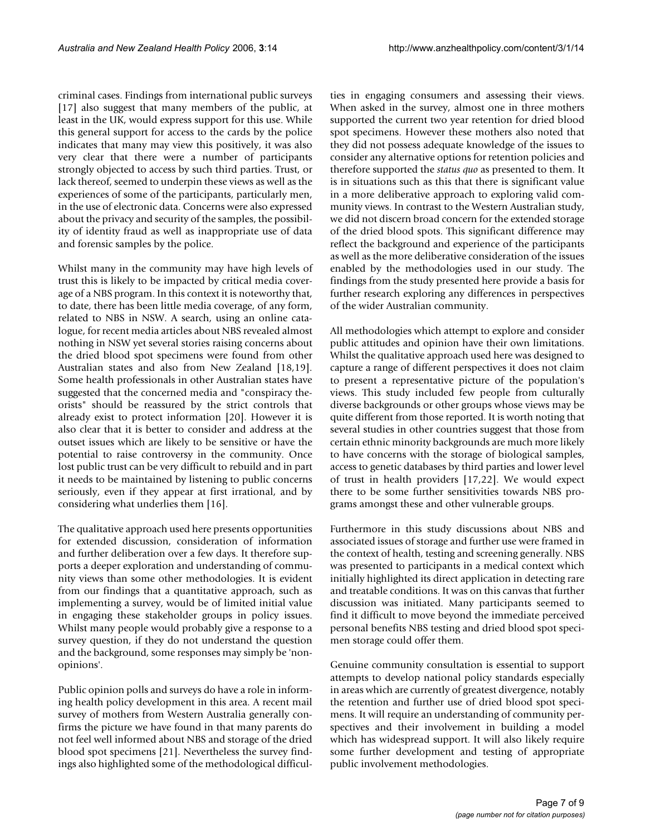criminal cases. Findings from international public surveys [17] also suggest that many members of the public, at least in the UK, would express support for this use. While this general support for access to the cards by the police indicates that many may view this positively, it was also very clear that there were a number of participants strongly objected to access by such third parties. Trust, or lack thereof, seemed to underpin these views as well as the experiences of some of the participants, particularly men, in the use of electronic data. Concerns were also expressed about the privacy and security of the samples, the possibility of identity fraud as well as inappropriate use of data and forensic samples by the police.

Whilst many in the community may have high levels of trust this is likely to be impacted by critical media coverage of a NBS program. In this context it is noteworthy that, to date, there has been little media coverage, of any form, related to NBS in NSW. A search, using an online catalogue, for recent media articles about NBS revealed almost nothing in NSW yet several stories raising concerns about the dried blood spot specimens were found from other Australian states and also from New Zealand [18,19]. Some health professionals in other Australian states have suggested that the concerned media and "conspiracy theorists" should be reassured by the strict controls that already exist to protect information [20]. However it is also clear that it is better to consider and address at the outset issues which are likely to be sensitive or have the potential to raise controversy in the community. Once lost public trust can be very difficult to rebuild and in part it needs to be maintained by listening to public concerns seriously, even if they appear at first irrational, and by considering what underlies them [16].

The qualitative approach used here presents opportunities for extended discussion, consideration of information and further deliberation over a few days. It therefore supports a deeper exploration and understanding of community views than some other methodologies. It is evident from our findings that a quantitative approach, such as implementing a survey, would be of limited initial value in engaging these stakeholder groups in policy issues. Whilst many people would probably give a response to a survey question, if they do not understand the question and the background, some responses may simply be 'nonopinions'.

Public opinion polls and surveys do have a role in informing health policy development in this area. A recent mail survey of mothers from Western Australia generally confirms the picture we have found in that many parents do not feel well informed about NBS and storage of the dried blood spot specimens [21]. Nevertheless the survey findings also highlighted some of the methodological difficulties in engaging consumers and assessing their views. When asked in the survey, almost one in three mothers supported the current two year retention for dried blood spot specimens. However these mothers also noted that they did not possess adequate knowledge of the issues to consider any alternative options for retention policies and therefore supported the *status quo* as presented to them. It is in situations such as this that there is significant value in a more deliberative approach to exploring valid community views. In contrast to the Western Australian study, we did not discern broad concern for the extended storage of the dried blood spots. This significant difference may reflect the background and experience of the participants as well as the more deliberative consideration of the issues enabled by the methodologies used in our study. The findings from the study presented here provide a basis for further research exploring any differences in perspectives of the wider Australian community.

All methodologies which attempt to explore and consider public attitudes and opinion have their own limitations. Whilst the qualitative approach used here was designed to capture a range of different perspectives it does not claim to present a representative picture of the population's views. This study included few people from culturally diverse backgrounds or other groups whose views may be quite different from those reported. It is worth noting that several studies in other countries suggest that those from certain ethnic minority backgrounds are much more likely to have concerns with the storage of biological samples, access to genetic databases by third parties and lower level of trust in health providers [17,22]. We would expect there to be some further sensitivities towards NBS programs amongst these and other vulnerable groups.

Furthermore in this study discussions about NBS and associated issues of storage and further use were framed in the context of health, testing and screening generally. NBS was presented to participants in a medical context which initially highlighted its direct application in detecting rare and treatable conditions. It was on this canvas that further discussion was initiated. Many participants seemed to find it difficult to move beyond the immediate perceived personal benefits NBS testing and dried blood spot specimen storage could offer them.

Genuine community consultation is essential to support attempts to develop national policy standards especially in areas which are currently of greatest divergence, notably the retention and further use of dried blood spot specimens. It will require an understanding of community perspectives and their involvement in building a model which has widespread support. It will also likely require some further development and testing of appropriate public involvement methodologies.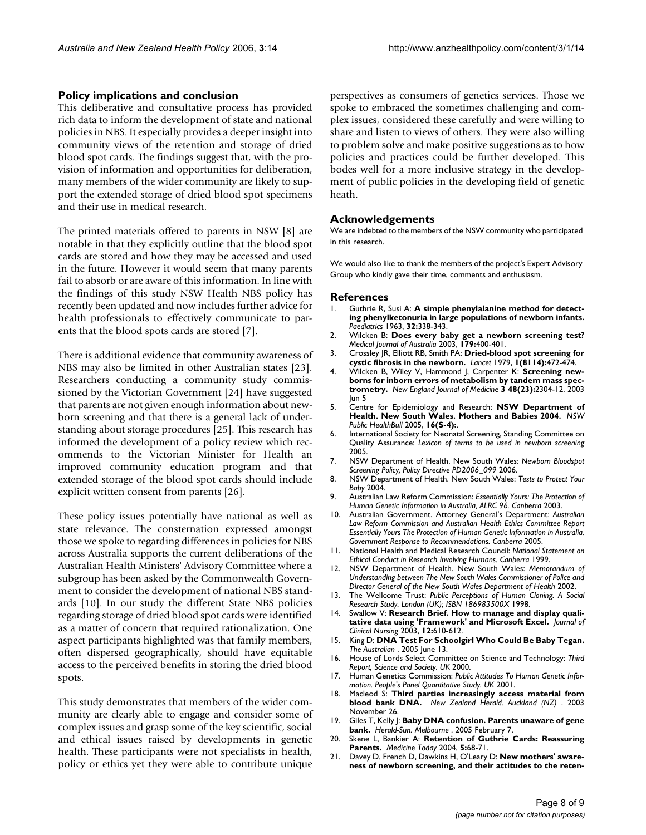#### **Policy implications and conclusion**

This deliberative and consultative process has provided rich data to inform the development of state and national policies in NBS. It especially provides a deeper insight into community views of the retention and storage of dried blood spot cards. The findings suggest that, with the provision of information and opportunities for deliberation, many members of the wider community are likely to support the extended storage of dried blood spot specimens and their use in medical research.

The printed materials offered to parents in NSW [8] are notable in that they explicitly outline that the blood spot cards are stored and how they may be accessed and used in the future. However it would seem that many parents fail to absorb or are aware of this information. In line with the findings of this study NSW Health NBS policy has recently been updated and now includes further advice for health professionals to effectively communicate to parents that the blood spots cards are stored [7].

There is additional evidence that community awareness of NBS may also be limited in other Australian states [23]. Researchers conducting a community study commissioned by the Victorian Government [24] have suggested that parents are not given enough information about newborn screening and that there is a general lack of understanding about storage procedures [25]. This research has informed the development of a policy review which recommends to the Victorian Minister for Health an improved community education program and that extended storage of the blood spot cards should include explicit written consent from parents [26].

These policy issues potentially have national as well as state relevance. The consternation expressed amongst those we spoke to regarding differences in policies for NBS across Australia supports the current deliberations of the Australian Health Ministers' Advisory Committee where a subgroup has been asked by the Commonwealth Government to consider the development of national NBS standards [10]. In our study the different State NBS policies regarding storage of dried blood spot cards were identified as a matter of concern that required rationalization. One aspect participants highlighted was that family members, often dispersed geographically, should have equitable access to the perceived benefits in storing the dried blood spots.

This study demonstrates that members of the wider community are clearly able to engage and consider some of complex issues and grasp some of the key scientific, social and ethical issues raised by developments in genetic health. These participants were not specialists in health, policy or ethics yet they were able to contribute unique perspectives as consumers of genetics services. Those we spoke to embraced the sometimes challenging and complex issues, considered these carefully and were willing to share and listen to views of others. They were also willing to problem solve and make positive suggestions as to how policies and practices could be further developed. This bodes well for a more inclusive strategy in the development of public policies in the developing field of genetic heath.

#### **Acknowledgements**

We are indebted to the members of the NSW community who participated in this research.

We would also like to thank the members of the project's Expert Advisory Group who kindly gave their time, comments and enthusiasm.

#### **References**

- Guthrie R, Susi A: A simple phenylalanine method for detect**ing phenylketonuria in large populations of newborn infants.** *Paediatrics* 1963, **32:**338-343.
- 2. Wilcken B: **[Does every baby get a newborn screening test?](http://www.ncbi.nlm.nih.gov/entrez/query.fcgi?cmd=Retrieve&db=PubMed&dopt=Abstract&list_uids=14558861)** *Medical Journal of Australia* 2003, **179:**400-401.
- 3. Crossley JR, Elliott RB, Smith PA: **[Dried-blood spot screening for](http://www.ncbi.nlm.nih.gov/entrez/query.fcgi?cmd=Retrieve&db=PubMed&dopt=Abstract&list_uids=85057) [cystic fibrosis in the newborn.](http://www.ncbi.nlm.nih.gov/entrez/query.fcgi?cmd=Retrieve&db=PubMed&dopt=Abstract&list_uids=85057)** *Lancet* 1979, **1(8114):**472-474.
- 4. Wilcken B, Wiley V, Hammond J, Carpenter K: **Screening newborns for inborn errors of metabolism by tandem mass spectrometry.** *New England Journal of Medicine* **3 48(23):**2304-12. 2003 Jun 5
- 5. Centre for Epidemiology and Research: **NSW Department of Health. New South Wales. Mothers and Babies 2004.** *NSW Public HealthBull* 2005, **16(S-4):**.
- 6. International Society for Neonatal Screening, Standing Committee on Quality Assurance: *Lexicon of terms to be used in newborn screening* 2005.
- 7. NSW Department of Health. New South Wales: *Newborn Bloodspot Screening Policy, Policy Directive PD2006\_099* 2006.
- 8. NSW Department of Health. New South Wales: *Tests to Protect Your Baby* 2004.
- 9. Australian Law Reform Commission: *Essentially Yours: The Protection of Human Genetic Information in Australia, ALRC 96. Canberra* 2003.
- 10. Australian Government. Attorney General's Department: *Australian Law Reform Commission and Australian Health Ethics Committee Report Essentially Yours The Protection of Human Genetic Information in Australia. Government Response to Recommendations. Canberra* 2005.
- 11. National Health and Medical Research Council: *National Statement on Ethical Conduct in Research Involving Humans. Canberra* 1999.
- 12. NSW Department of Health. New South Wales: *Memorandum of Understanding between The New South Wales Commissioner of Police and Director General of the New South Wales Department of Health* 2002.
- 13. The Wellcome Trust: *Public Perceptions of Human Cloning. A Social Research Study. London (UK); ISBN 186983500X* 1998.
- 14. Swallow V: **[Research Brief. How to manage and display quali](http://www.ncbi.nlm.nih.gov/entrez/query.fcgi?cmd=Retrieve&db=PubMed&dopt=Abstract&list_uids=12790875)[tative data using 'Framework' and Microsoft Excel.](http://www.ncbi.nlm.nih.gov/entrez/query.fcgi?cmd=Retrieve&db=PubMed&dopt=Abstract&list_uids=12790875)** *Journal of Clinical Nursing* 2003, **12:**610-612.
- 15. King D: **DNA Test For Schoolgirl Who Could Be Baby Tegan.** *The Australian* . 2005 June 13.
- 16. House of Lords Select Committee on Science and Technology: *Third Report, Science and Society. UK* 2000.
- 17. Human Genetics Commission: *Public Attitudes To Human Genetic Information. People's Panel Quantitative Study. UK* 2001.
- 18. Macleod S: **Third parties increasingly access material from blood bank DNA.** *New Zealand Herald. Auckland (NZ)* . 2003 November 26.
- 19. Giles T, Kelly |: Baby DNA confusion. Parents unaware of gene **bank.** *Herald-Sun. Melbourne* . 2005 February 7.
- 20. Skene L, Bankier A: **Retention of Guthrie Cards: Reassuring Parents.** *Medicine Today* 2004, **5:**68-71.
- 21. Davey D, French D, Dawkins H, O'Leary D: **New mothers' awareness of newborn screening, and their attitudes to the reten-**